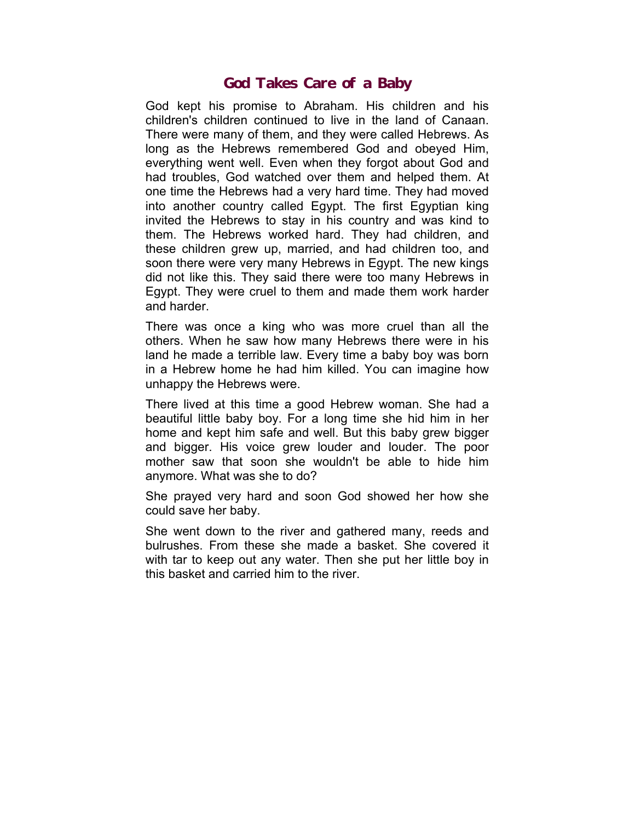## **God Takes Care of a Baby**

God kept his promise to Abraham. His children and his children's children continued to live in the land of Canaan. There were many of them, and they were called Hebrews. As long as the Hebrews remembered God and obeyed Him, everything went well. Even when they forgot about God and had troubles, God watched over them and helped them. At one time the Hebrews had a very hard time. They had moved into another country called Egypt. The first Egyptian king invited the Hebrews to stay in his country and was kind to them. The Hebrews worked hard. They had children, and these children grew up, married, and had children too, and soon there were very many Hebrews in Egypt. The new kings did not like this. They said there were too many Hebrews in Egypt. They were cruel to them and made them work harder and harder.

There was once a king who was more cruel than all the others. When he saw how many Hebrews there were in his land he made a terrible law. Every time a baby boy was born in a Hebrew home he had him killed. You can imagine how unhappy the Hebrews were.

There lived at this time a good Hebrew woman. She had a beautiful little baby boy. For a long time she hid him in her home and kept him safe and well. But this baby grew bigger and bigger. His voice grew louder and louder. The poor mother saw that soon she wouldn't be able to hide him anymore. What was she to do?

She prayed very hard and soon God showed her how she could save her baby.

She went down to the river and gathered many, reeds and bulrushes. From these she made a basket. She covered it with tar to keep out any water. Then she put her little boy in this basket and carried him to the river.